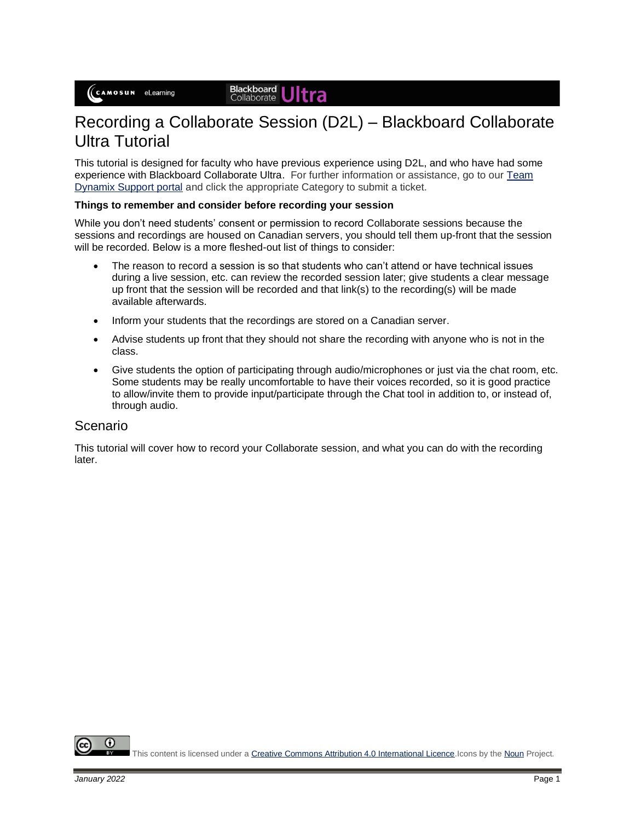# Recording a Collaborate Session (D2L) – Blackboard Collaborate Ultra Tutorial

This tutorial is designed for faculty who have previous experience using D2L, and who have had some experience with Blackboard Collaborate Ultra. For further information or assistance, go to our [Team](https://camosun.teamdynamix.com/TDClient/67/Portal/Requests/ServiceCatalog?CategoryID=523)  [Dynamix Support portal](https://camosun.teamdynamix.com/TDClient/67/Portal/Requests/ServiceCatalog?CategoryID=523) and click the appropriate Category to submit a ticket.

#### **Things to remember and consider before recording your session**

While you don't need students' consent or permission to record Collaborate sessions because the sessions and recordings are housed on Canadian servers, you should tell them up-front that the session will be recorded. Below is a more fleshed-out list of things to consider:

- The reason to record a session is so that students who can't attend or have technical issues during a live session, etc. can review the recorded session later; give students a clear message up front that the session will be recorded and that link(s) to the recording(s) will be made available afterwards.
- Inform your students that the recordings are stored on a Canadian server.
- Advise students up front that they should not share the recording with anyone who is not in the class.
- Give students the option of participating through audio/microphones or just via the chat room, etc. Some students may be really uncomfortable to have their voices recorded, so it is good practice to allow/invite them to provide input/participate through the Chat tool in addition to, or instead of, through audio.

#### Scenario

This tutorial will cover how to record your Collaborate session, and what you can do with the recording later.

O

This content is licensed under [a Creative Commons Attribution 4.0 International Licence.I](https://creativecommons.org/licenses/by/4.0/)cons by th[e Noun](https://creativecommons.org/website-icons/) Project.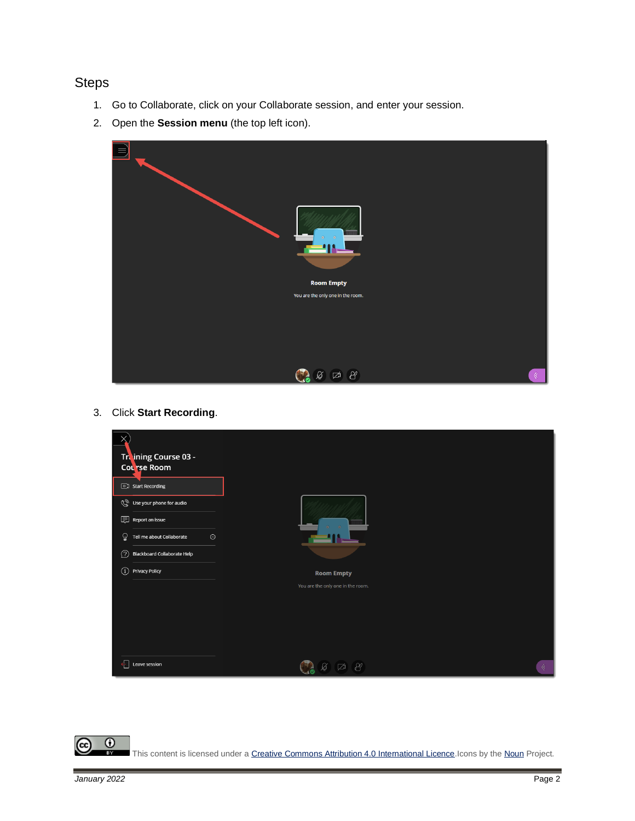## **Steps**

- 1. Go to Collaborate, click on your Collaborate session, and enter your session.
- 2. Open the **Session menu** (the top left icon).



3. Click **Start Recording**.



This content is licensed under [a Creative Commons Attribution 4.0 International Licence.I](https://creativecommons.org/licenses/by/4.0/)cons by th[e Noun](https://creativecommons.org/website-icons/) Project.

 $^\circledR$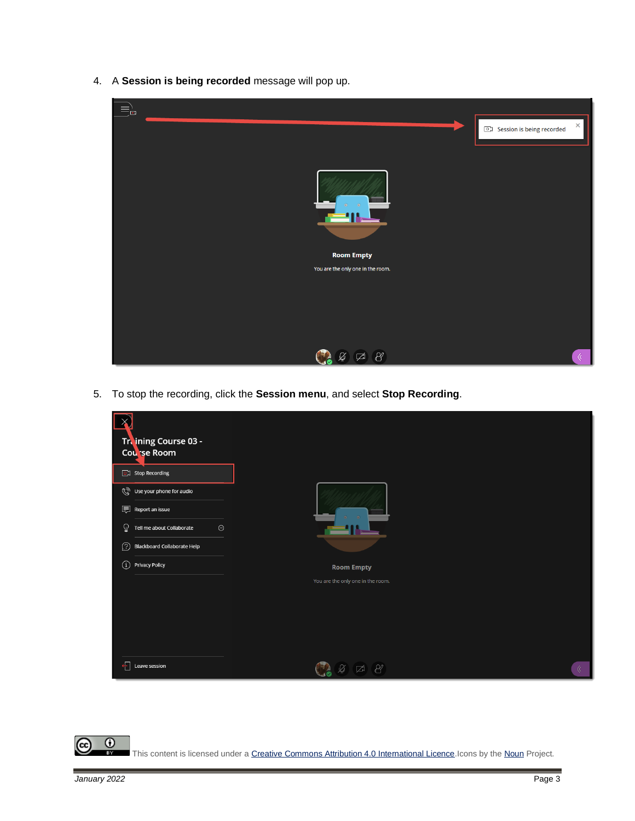4. A **Session is being recorded** message will pop up.



5. To stop the recording, click the **Session menu**, and select **Stop Recording**.

| Treining Course 03 -                                    |                                   |   |
|---------------------------------------------------------|-----------------------------------|---|
| Course Room                                             |                                   |   |
| Stop Recording                                          |                                   |   |
| Use your phone for audio                                |                                   |   |
| <b>同</b> Report an issue                                |                                   |   |
| ହ<br>$_{\odot}$<br>Tell me about Collaborate            |                                   |   |
| ⅅ<br><b>Blackboard Collaborate Help</b>                 |                                   |   |
| $\textcircled{\scriptsize{i}}$<br><b>Privacy Policy</b> | <b>Room Empty</b>                 |   |
|                                                         | You are the only one in the room. |   |
|                                                         |                                   |   |
|                                                         |                                   |   |
|                                                         |                                   |   |
|                                                         |                                   |   |
| $\leftarrow$<br>Leave session                           | $\beta$<br>Ø<br>ø                 | 《 |



(cc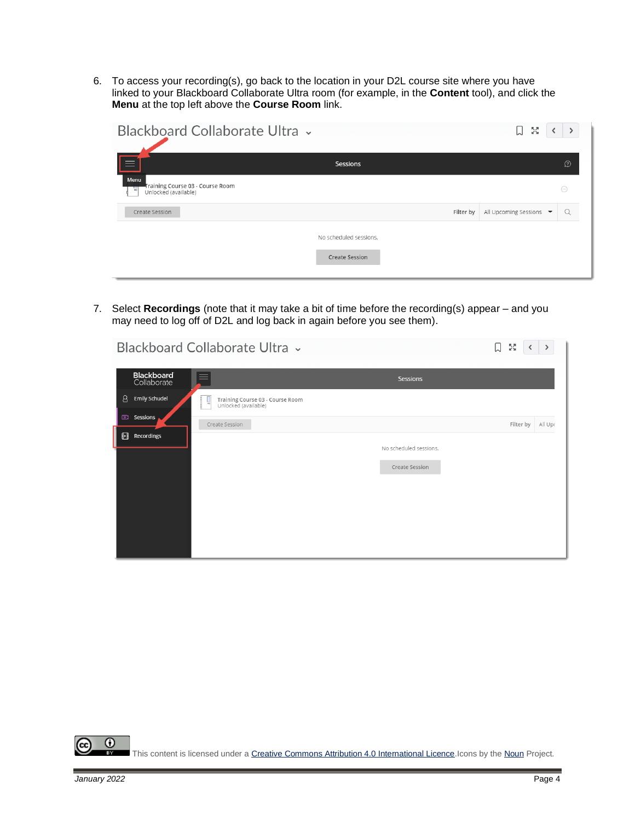6. To access your recording(s), go back to the location in your D2L course site where you have linked to your Blackboard Collaborate Ultra room (for example, in the **Content** tool), and click the **Menu** at the top left above the **Course Room** link.

| Blackboard Collaborate Ultra v                                        |                        |           | БØ<br>Ум<br>IJ          |          |
|-----------------------------------------------------------------------|------------------------|-----------|-------------------------|----------|
|                                                                       | Sessions               |           |                         | $\Omega$ |
| Menu<br>Training Course 03 - Course Room<br>е<br>Unlocked (available) |                        |           |                         | $\odot$  |
| Create Session                                                        |                        | Filter by | All Upcoming Sessions ▼ | Q        |
|                                                                       | No scheduled sessions. |           |                         |          |
|                                                                       | <b>Create Session</b>  |           |                         |          |

7. Select **Recordings** (note that it may take a bit of time before the recording(s) appear – and you may need to log off of D2L and log back in again before you see them).

|   |                           | Blackboard Collaborate Ultra v                                | 口                      | 5g        | $\rightarrow$ |
|---|---------------------------|---------------------------------------------------------------|------------------------|-----------|---------------|
|   | Blackboard<br>Collaborate | $\equiv$                                                      | <b>Sessions</b>        |           |               |
| 8 | <b>Emily Schudel</b>      | Training Course 03 - Course Room<br>ų<br>Unlocked (available) |                        |           |               |
|   | <b>223</b> Sessions       | Create Session                                                |                        | Filter by | All Upr       |
| 圓 | Recordings                |                                                               | No scheduled sessions. |           |               |
|   |                           |                                                               | Create Session         |           |               |

 $\odot$ This content is licensed under [a Creative Commons Attribution 4.0 International Licence.I](https://creativecommons.org/licenses/by/4.0/)cons by th[e Noun](https://creativecommons.org/website-icons/) Project.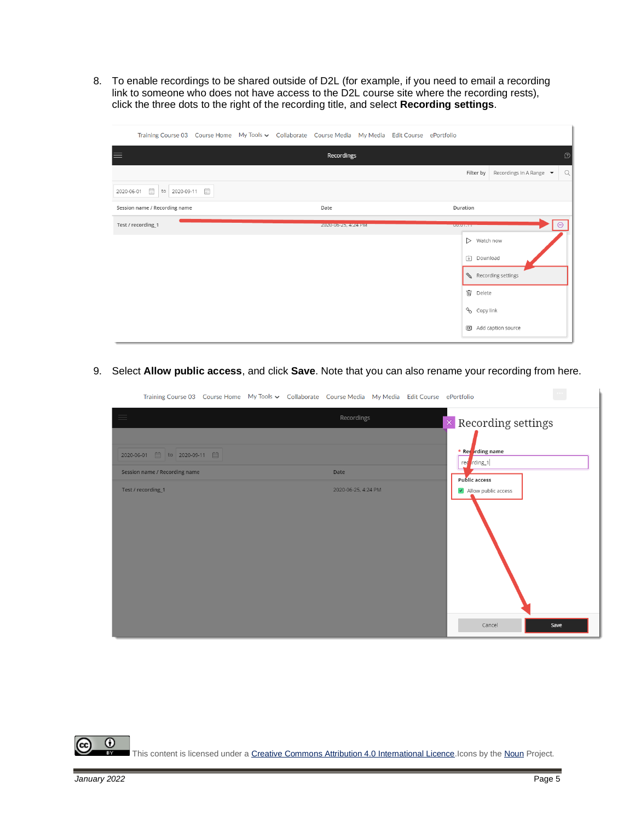8. To enable recordings to be shared outside of D2L (for example, if you need to email a recording link to someone who does not have access to the D2L course site where the recording rests), click the three dots to the right of the recording title, and select **Recording settings**.

|                               | Training Course 03 Course Home My Tools v Collaborate Course Media My Media Edit Course ePortfolio |                            |                                                  |
|-------------------------------|----------------------------------------------------------------------------------------------------|----------------------------|--------------------------------------------------|
| $\equiv$                      | Recordings                                                                                         |                            | $\circledR$                                      |
|                               |                                                                                                    | Filter by                  | Q<br>Recordings In A Range $\blacktriangleright$ |
| 2020-06-01 面<br>to 2020-09-11 |                                                                                                    |                            |                                                  |
| Session name / Recording name | Date                                                                                               | Duration                   |                                                  |
| Test / recording_1            | 2020-06-25, 4:24 PM                                                                                | <b>UU.UT.TT</b>            |                                                  |
|                               |                                                                                                    | $\triangleright$ Watch now |                                                  |
|                               |                                                                                                    | $\triangledown$ Download   |                                                  |
|                               |                                                                                                    | Recording settings         |                                                  |
|                               |                                                                                                    | <b>m</b> Delete            |                                                  |
|                               |                                                                                                    | Copy link                  |                                                  |
|                               |                                                                                                    | CC Add caption source      |                                                  |

9. Select **Allow public access**, and click **Save**. Note that you can also rename your recording from here.

| Training Course 03 Course Home My Tools v Collaborate Course Media My Media Edit Course ePortfolio |                     |                                 |      |
|----------------------------------------------------------------------------------------------------|---------------------|---------------------------------|------|
| $\equiv$                                                                                           | Recordings          | $\times$ Recording settings     |      |
| 2020-06-01 <b>圖</b> to 2020-09-11 圖                                                                |                     | * Recording name<br>red rding_1 |      |
| Session name / Recording name                                                                      | Date                | <b>Public access</b>            |      |
| Test / recording_1                                                                                 | 2020-06-25, 4:24 PM | Allow public access             |      |
|                                                                                                    |                     | Cancel                          | Save |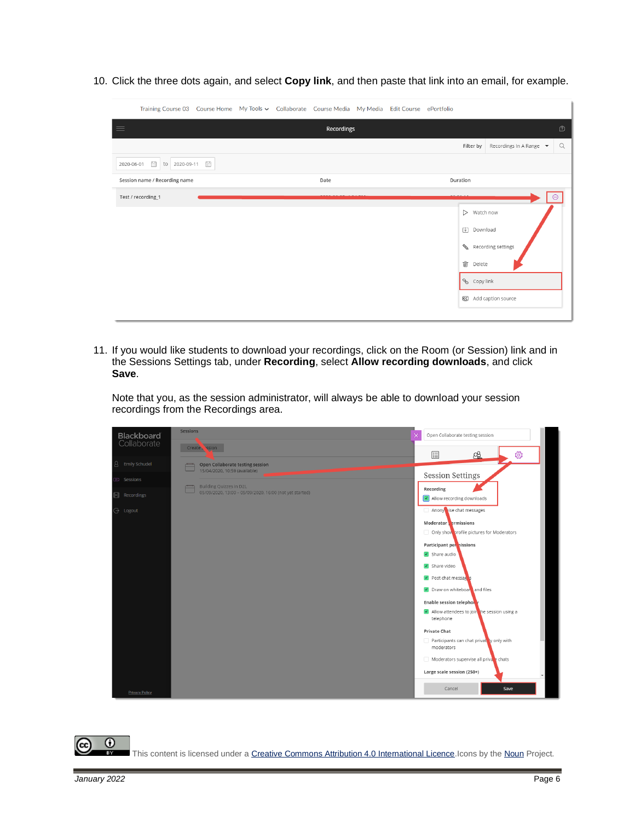10. Click the three dots again, and select **Copy link**, and then paste that link into an email, for example.

|            | Training Course 03 Course Home My Tools v Collaborate Course Media My Media Edit Course ePortfolio                                                                                                                                                                                                                                                                     |  |            |  |                          |                         |             |
|------------|------------------------------------------------------------------------------------------------------------------------------------------------------------------------------------------------------------------------------------------------------------------------------------------------------------------------------------------------------------------------|--|------------|--|--------------------------|-------------------------|-------------|
| $\equiv$   |                                                                                                                                                                                                                                                                                                                                                                        |  | Recordings |  |                          |                         | $\circledR$ |
|            |                                                                                                                                                                                                                                                                                                                                                                        |  |            |  | Filter by                | Recordings In A Range ▼ | Q           |
| 2020-06-01 | $\begin{picture}(20,20) \put(0,0){\line(1,0){10}} \put(15,0){\line(1,0){10}} \put(15,0){\line(1,0){10}} \put(15,0){\line(1,0){10}} \put(15,0){\line(1,0){10}} \put(15,0){\line(1,0){10}} \put(15,0){\line(1,0){10}} \put(15,0){\line(1,0){10}} \put(15,0){\line(1,0){10}} \put(15,0){\line(1,0){10}} \put(15,0){\line(1,0){10}} \put(15,0){\line(1$<br>to 2020-09-11 图 |  |            |  |                          |                         |             |
|            | Session name / Recording name                                                                                                                                                                                                                                                                                                                                          |  | Date       |  | Duration                 |                         |             |
|            | Test / recording_1                                                                                                                                                                                                                                                                                                                                                     |  |            |  |                          |                         |             |
|            |                                                                                                                                                                                                                                                                                                                                                                        |  |            |  | $>$ Watch now            |                         |             |
|            |                                                                                                                                                                                                                                                                                                                                                                        |  |            |  | $\triangledown$ Download |                         |             |
|            |                                                                                                                                                                                                                                                                                                                                                                        |  |            |  |                          | Recording settings      |             |
|            |                                                                                                                                                                                                                                                                                                                                                                        |  |            |  | <b>m</b> Delete          |                         |             |
|            |                                                                                                                                                                                                                                                                                                                                                                        |  |            |  | Copy link                |                         |             |
|            |                                                                                                                                                                                                                                                                                                                                                                        |  |            |  |                          | CC Add caption source   |             |
|            |                                                                                                                                                                                                                                                                                                                                                                        |  |            |  |                          |                         |             |

11. If you would like students to download your recordings, click on the Room (or Session) link and in the Sessions Settings tab, under **Recording**, select **Allow recording downloads**, and click **Save**.

Note that you, as the session administrator, will always be able to download your session recordings from the Recordings area.

| <b>Blackboard</b>         | <b>Sessions</b>                                                        | Open Collaborate testing session                           |
|---------------------------|------------------------------------------------------------------------|------------------------------------------------------------|
| Collaborate               | Create Sesion                                                          | छु<br>89<br>目                                              |
| Emily Schudel<br>8        | Open Collaborate testing session<br>⊏<br>15/04/2020, 10:59 (available) |                                                            |
| $\overline{\gg}$ Sessions | <b>Building Quizzes in D2L</b><br>$\overline{\phantom{a}}$             | <b>Session Settings</b>                                    |
| Recordings<br>酮           | 05/09/2020, 13:00 - 05/09/2020, 16:00 (not yet started)                | Recording<br>$\sqrt{\sqrt{2}}$ Allow recording downloads   |
| $\ominus$ Logout          |                                                                        | Anony ise chat messages                                    |
|                           |                                                                        | Moderator ermissions                                       |
|                           |                                                                        | Only show profile pictures for Moderators                  |
|                           |                                                                        | Participant per nissions                                   |
|                           |                                                                        | $\blacktriangleright$ Share audio                          |
|                           |                                                                        | Share video                                                |
|                           |                                                                        | $\triangleright$ Post chat message                         |
|                           |                                                                        | Draw on whiteboar and files                                |
|                           |                                                                        | <b>Enable session telephon</b>                             |
|                           |                                                                        | Iv Allow attendees to jointhe session using a<br>telephone |
|                           |                                                                        | <b>Private Chat</b>                                        |
|                           |                                                                        | Participants can chat privat ly only with<br>moderators    |
|                           |                                                                        | Moderators supervise all private chats                     |
|                           |                                                                        | Large scale session (250+)                                 |
| <b>Privacy Policy</b>     |                                                                        | Cancel<br>Save                                             |

 $\odot$ This content is licensed under [a Creative Commons Attribution 4.0 International Licence.I](https://creativecommons.org/licenses/by/4.0/)cons by th[e Noun](https://creativecommons.org/website-icons/) Project.